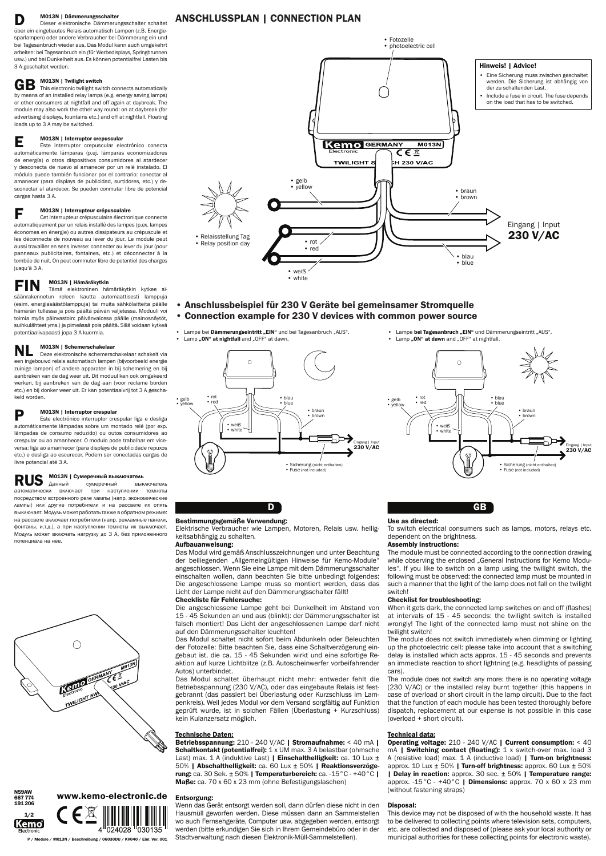# **D M013N | Dämmerungsschalter**<br>Dieser elektronische Dämmerun

Dieser elektronische Dämmerungsschalter schaltet über ein eingebautes Relais automatisch Lampen (z.B. Energiesparlampen) oder andere Verbraucher bei Dämmerung ein und bei Tagesanbruch wieder aus. Das Modul kann auch umgekehrt arbeiten: bei Tagesanbruch ein (für Werbedisplays, Springbrunnen usw.) und bei Dunkelheit aus. Es können potentialfrei Lasten bis 3 A geschaltet werden.

# GB M013N | Twilight switch

This electronic twilight switch connects automatically by means of an installed relay lamps (e.g. energy saving lamps) or other consumers at nightfall and off again at daybreak. The module may also work the other way round: on at daybreak (for advertising displays, fountains etc.) and off at nightfall. Floating loads up to 3 A may be switched.

E M013N | Interruptor crepuscular Este interruptor crepuscular electrónico conecta automáticamente lámparas (p.ej. lámparas economizadores de energía) o otros dispositivos consumidores al atardecer y desconecta de nuevo al amanecer por un relé instalado. El módulo puede también funcionar por el contrario: conectar al amanecer (para displays de publicidad, surtidores, etc.) y desconectar al atardecer. Se pueden conmutar libre de potencial cargas hasta 3 A.

F M013N | Interrupteur crépusculaire Cet interrupteur crépusculaire électronique connecte automatiquement par un relais installé des lampes (p.ex. lampes économes en énergie) ou autres dissipateurs au crépuscule et les déconnecte de nouveau au lever du jour. Le module peut aussi travailler en sens inverse: connecter au lever du jour (pour panneaux publicitaires, fontaines, etc.) et déconnecter à la tombée de nuit. On peut commuter libre de potentiel des charges jusqu'à 3 A.

выключатель включает при наступлении темноты посредством встроенного реле лампы (напр. экономические лампы) или другие потребители и на рассвете их опять выключает. Модуль может работать также в обратном режиме: на рассвете включает потребители (напр. рекламные панели, фонтаны, и.т.д.), а при наступлении темноты их выключает. Модуль может включать нагрузку до 3 А, без приложенного потенциала на нее.



FIN M013N | Hämäräkytkin Tämä elektroninen hämäräkytkin kytkee sisäänrakennetun releen kautta automaattisesti lamppuja (esim. energiasäästölamppuja) tai muita sähkölaitteita päälle hämärän tullessa ja pois päältä päivän valjetessa. Moduuli voi toimia myös päinvastoin: päivänvalossa päälle (mainosnäytöt, suihkulähteet yms.) ja pimeässä pois päältä. Sillä voidaan kytkeä potentiaalivapaasti jopa 3 A kuormia.

# NL M013N | Schemerschakelaar

Deze elektronische schemerschakelaar schakelt via een ingebouwd relais automatisch lampen (bijvoorbeeld energie zuinige lampen) of andere apparaten in bij schemering en bij aanbreken van de dag weer uit. Dit moduul kan ook omgekeerd werken, bij aanbreken van de dag aan (voor reclame borden etc.) en bij donker weer uit. Er kan potentiaalvrij tot 3 A geschakeld worden.

#### M013N | Interruptor crespular

Betriebsspannung: 210 - 240 V/AC | Stromaufnahme: < 40 mA | Schaltkontakt (potentialfrei): 1 x UM max. 3 A belastbar (ohmsche Last) max. 1 A (induktive Last) | Einschalthelligkeit: ca. 10 Lux  $\pm$ 50% | Abschalthelligkeit: ca. 60 Lux ± 50% | Reaktionsverzögerung: ca. 30 Sek. ± 50% | Temperaturbereich: ca. -15°C - +40°C | Maße: ca. 70 x 60 x 23 mm (ohne Befestigungslaschen)

Este electrónico interruptor crespular liga e desliga automáticamente lâmpadas sobre um montado relé (por exp. lâmpadas de consumo reduzido) ou outos consumidores ao crespular ou ao amanhecer. O modulo pode trabalhar em viceversa: liga ao amanhecer (para displays de publicidade repuxos etc.) e desliga ao escurecer. Podem ser conectadas cargas de livre potencial até 3 A.

# **RUS** MO13N | Сумеречный выключатель<br>автоматически включает при наступлении

D

## Bestimmungsgemäße Verwendung:

Elektrische Verbraucher wie Lampen, Motoren, Relais usw. helligkeitsabhängig zu schalten.

### Aufbauanweisung:

Das Modul wird gemäß Anschlusszeichnungen und unter Beachtung der beiliegenden "Allgemeingültigen Hinweise für Kemo-Module" angeschlossen. Wenn Sie eine Lampe mit dem Dämmerungsschalter einschalten wollen, dann beachten Sie bitte unbedingt folgendes: Die angeschlossene Lampe muss so montiert werden, dass das Licht der Lampe nicht auf den Dämmerungsschalter fällt!

#### Checkliste für Fehlersuche:

Die angeschlossene Lampe geht bei Dunkelheit im Abstand von 15 - 45 Sekunden an und aus (blinkt): der Dämmerungsschalter ist falsch montiert! Das Licht der angeschlossenen Lampe darf nicht auf den Dämmerungsschalter leuchten!

Das Modul schaltet nicht sofort beim Abdunkeln oder Beleuchten der Fotozelle: Bitte beachten Sie, dass eine Schaltverzögerung eingebaut ist, die ca. 15 - 45 Sekunden wirkt und eine sofortige Reaktion auf kurze Lichtblitze (z.B. Autoscheinwerfer vorbeifahrender Autos) unterbindet.

- Connection example for 230 V devices with common power source
- Lampe bei Dämmerungseintritt "EIN" und bei Tagesanbruch "AUS".
	-
- Lampe bei Tagesanbruch "EIN" und Dämmerungseintritt "AUS".
	- Lamp "ON" at dawn and "OFF" at nightfall.

Das Modul schaltet überhaupt nicht mehr: entweder fehlt die Betriebsspannung (230 V/AC), oder das eingebaute Relais ist festgebrannt (das passiert bei Überlastung oder Kurzschluss im Lampenkreis). Weil jedes Modul vor dem Versand sorgfältig auf Funktion geprüft wurde, ist in solchen Fällen (Überlastung + Kurzschluss) kein Kulanzersatz möglich.

### Technische Daten:

Wenn das Gerät entsorgt werden soll, dann dürfen diese nicht in den Hausmüll geworfen werden. Diese müssen dann an Sammelstellen wo auch Fernsehgeräte, Computer usw. abgegeben werden, entsorgt werden (bitte erkundigen Sie sich in Ihrem Gemeindebüro oder in der Stadtverwaltung nach diesen Elektronik-Müll-Sammelstellen).

#### Entsorgung: www.kemo-electronic.de

P / Module / M013N / Beschreibung / 06030DU / KV040 / Einl. Ver. 001

N59AW 667 774 191 206

GB

#### Use as directed:

To switch electrical consumers such as lamps, motors, relays etc. dependent on the brightness.

#### Assembly instructions:

The module must be connected according to the connection drawing while observing the enclosed "General Instructions for Kemo Modules". If you like to switch on a lamp using the twilight switch, the following must be observed: the connected lamp must be mounted in such a manner that the light of the lamp does not fall on the twilight switch!

#### Checklist for troubleshooting:

When it gets dark, the connected lamp switches on and off (flashes) at intervals of 15 - 45 seconds: the twilight switch is installed wrongly! The light of the connected lamp must not shine on the twilight switch!

The module does not switch immediately when dimming or lighting up the photoelectric cell: please take into account that a switching delay is installed which acts approx. 15 - 45 seconds and prevents an immediate reaction to short lightning (e.g. headlights of passing cars). The module does not switch any more: there is no operating voltage (230 V/AC) or the installed relay burnt together (this happens in case of overload or short circuit in the lamp circuit). Due to the fact that the function of each module has been tested thoroughly before dispatch, replacement at our expense is not possible in this case (overload + short circuit).



#### Technical data:

Operating voltage: 210 - 240 V/AC | Current consumption: < 40 mA | Switching contact (floating): 1 x switch-over max. load 3 A (resistive load) max. 1 A (inductive load) | Turn-on brightness: approx. 10 Lux  $\pm$  50% | Turn-off brightness: approx. 60 Lux  $\pm$  50% | Delay in reaction: approx. 30 sec.  $\pm$  50% | Temperature range: approx.  $-15\degree$ C -  $+40\degree$ C | Dimensions: approx. 70 x 60 x 23 mm (without fastening straps)

#### Disposal:

This device may not be disposed of with the household waste. It has to be delivered to collecting points where television sets, computers, etc. are collected and disposed of (please ask your local authority or municipal authorities for these collecting points for electronic waste).









## AnschlussPlan | Connection Plan

# • Anschlussbeispiel für 230 V Geräte bei gemeinsamer Stromquelle